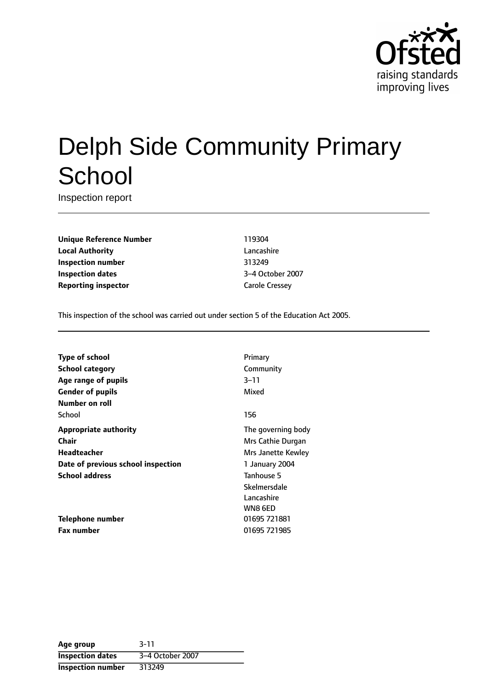

# Delph Side Community Primary **School**

Inspection report

**Unique Reference Number** 119304 **Local Authority** Lancashire **Inspection number** 313249 **Inspection dates** 3-4 October 2007 **Reporting inspector** Carole Cressey

This inspection of the school was carried out under section 5 of the Education Act 2005.

| <b>Type of school</b>              | Primary            |
|------------------------------------|--------------------|
| <b>School category</b>             | Community          |
| Age range of pupils                | 3–11               |
| <b>Gender of pupils</b>            | Mixed              |
| Number on roll                     |                    |
| School                             | 156                |
| <b>Appropriate authority</b>       | The governing body |
| Chair                              | Mrs Cathie Durgan  |
| <b>Headteacher</b>                 | Mrs Janette Kewley |
| Date of previous school inspection | 1 January 2004     |
| <b>School address</b>              | Tanhouse 5         |
|                                    | Skelmersdale       |
|                                    | Lancashire         |
|                                    | WN8 6ED            |
| Telephone number                   | 01695 721881       |
| <b>Fax number</b>                  | 01695 721985       |

| Age group               | $3 - 11$         |
|-------------------------|------------------|
| <b>Inspection dates</b> | 3-4 October 2007 |
| Inspection number       | 313249           |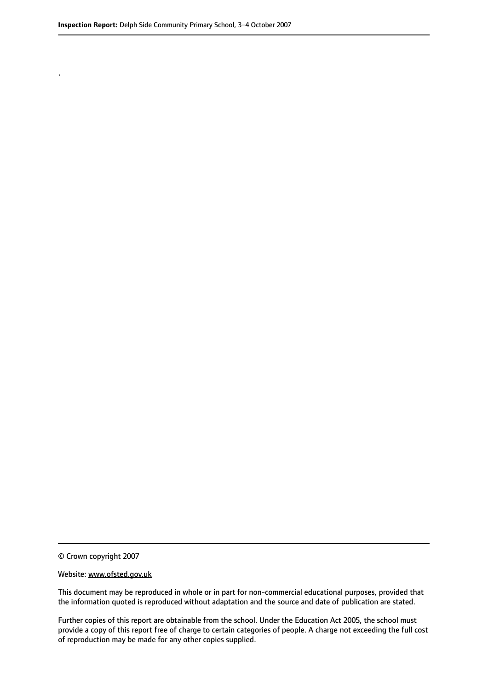.

© Crown copyright 2007

#### Website: www.ofsted.gov.uk

This document may be reproduced in whole or in part for non-commercial educational purposes, provided that the information quoted is reproduced without adaptation and the source and date of publication are stated.

Further copies of this report are obtainable from the school. Under the Education Act 2005, the school must provide a copy of this report free of charge to certain categories of people. A charge not exceeding the full cost of reproduction may be made for any other copies supplied.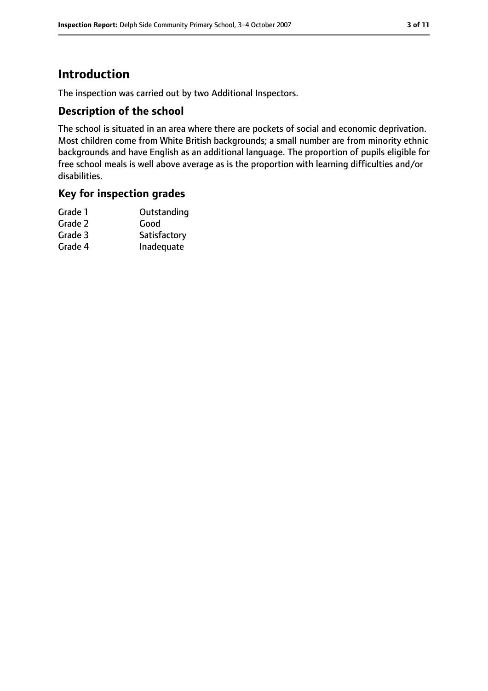# **Introduction**

The inspection was carried out by two Additional Inspectors.

## **Description of the school**

The school is situated in an area where there are pockets of social and economic deprivation. Most children come from White British backgrounds; a small number are from minority ethnic backgrounds and have English as an additional language. The proportion of pupils eligible for free school meals is well above average as is the proportion with learning difficulties and/or disabilities.

## **Key for inspection grades**

| Grade 1 | Outstanding  |
|---------|--------------|
| Grade 2 | Good         |
| Grade 3 | Satisfactory |
| Grade 4 | Inadequate   |
|         |              |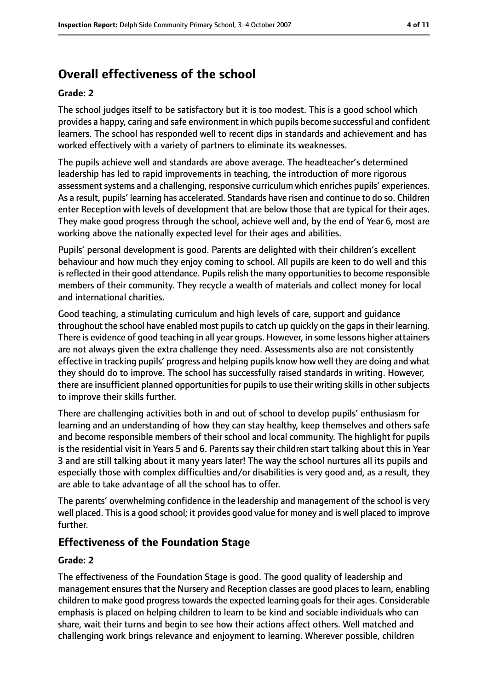# **Overall effectiveness of the school**

#### **Grade: 2**

The school judges itself to be satisfactory but it is too modest. This is a good school which provides a happy, caring and safe environment in which pupils become successful and confident learners. The school has responded well to recent dips in standards and achievement and has worked effectively with a variety of partners to eliminate its weaknesses.

The pupils achieve well and standards are above average. The headteacher's determined leadership has led to rapid improvements in teaching, the introduction of more rigorous assessment systems and a challenging, responsive curriculum which enriches pupils' experiences. As a result, pupils' learning has accelerated. Standards have risen and continue to do so. Children enter Reception with levels of development that are below those that are typical for their ages. They make good progress through the school, achieve well and, by the end of Year 6, most are working above the nationally expected level for their ages and abilities.

Pupils' personal development is good. Parents are delighted with their children's excellent behaviour and how much they enjoy coming to school. All pupils are keen to do well and this is reflected in their good attendance. Pupils relish the many opportunities to become responsible members of their community. They recycle a wealth of materials and collect money for local and international charities.

Good teaching, a stimulating curriculum and high levels of care, support and guidance throughout the school have enabled most pupils to catch up quickly on the gaps in their learning. There is evidence of good teaching in all year groups. However, in some lessons higher attainers are not always given the extra challenge they need. Assessments also are not consistently effective in tracking pupils' progress and helping pupils know how well they are doing and what they should do to improve. The school has successfully raised standards in writing. However, there are insufficient planned opportunities for pupils to use their writing skills in other subjects to improve their skills further.

There are challenging activities both in and out of school to develop pupils' enthusiasm for learning and an understanding of how they can stay healthy, keep themselves and others safe and become responsible members of their school and local community. The highlight for pupils is the residential visit in Years 5 and 6. Parents say their children start talking about this in Year 3 and are still talking about it many years later! The way the school nurtures all its pupils and especially those with complex difficulties and/or disabilities is very good and, as a result, they are able to take advantage of all the school has to offer.

The parents' overwhelming confidence in the leadership and management of the school is very well placed. Thisis a good school; it provides good value for money and is well placed to improve further.

## **Effectiveness of the Foundation Stage**

#### **Grade: 2**

The effectiveness of the Foundation Stage is good. The good quality of leadership and management ensures that the Nursery and Reception classes are good places to learn, enabling children to make good progress towards the expected learning goals for their ages. Considerable emphasis is placed on helping children to learn to be kind and sociable individuals who can share, wait their turns and begin to see how their actions affect others. Well matched and challenging work brings relevance and enjoyment to learning. Wherever possible, children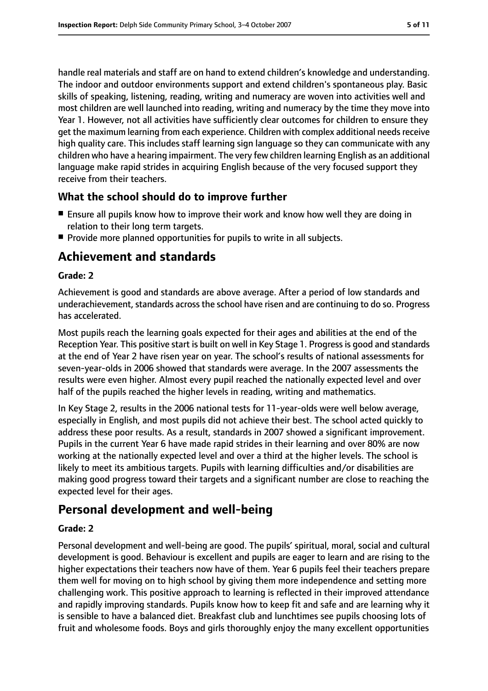handle real materials and staff are on hand to extend children's knowledge and understanding. The indoor and outdoor environments support and extend children's spontaneous play. Basic skills of speaking, listening, reading, writing and numeracy are woven into activities well and most children are well launched into reading, writing and numeracy by the time they move into Year 1. However, not all activities have sufficiently clear outcomes for children to ensure they get the maximum learning from each experience. Children with complex additional needs receive high quality care. This includes staff learning sign language so they can communicate with any children who have a hearing impairment. The very few children learning English as an additional language make rapid strides in acquiring English because of the very focused support they receive from their teachers.

## **What the school should do to improve further**

- Ensure all pupils know how to improve their work and know how well they are doing in relation to their long term targets.
- Provide more planned opportunities for pupils to write in all subjects.

# **Achievement and standards**

#### **Grade: 2**

Achievement is good and standards are above average. After a period of low standards and underachievement, standards across the school have risen and are continuing to do so. Progress has accelerated.

Most pupils reach the learning goals expected for their ages and abilities at the end of the Reception Year. This positive start is built on well in Key Stage 1. Progress is good and standards at the end of Year 2 have risen year on year. The school's results of national assessments for seven-year-olds in 2006 showed that standards were average. In the 2007 assessments the results were even higher. Almost every pupil reached the nationally expected level and over half of the pupils reached the higher levels in reading, writing and mathematics.

In Key Stage 2, results in the 2006 national tests for 11-year-olds were well below average, especially in English, and most pupils did not achieve their best. The school acted quickly to address these poor results. As a result, standards in 2007 showed a significant improvement. Pupils in the current Year 6 have made rapid strides in their learning and over 80% are now working at the nationally expected level and over a third at the higher levels. The school is likely to meet its ambitious targets. Pupils with learning difficulties and/or disabilities are making good progress toward their targets and a significant number are close to reaching the expected level for their ages.

# **Personal development and well-being**

#### **Grade: 2**

Personal development and well-being are good. The pupils' spiritual, moral, social and cultural development is good. Behaviour is excellent and pupils are eager to learn and are rising to the higher expectations their teachers now have of them. Year 6 pupils feel their teachers prepare them well for moving on to high school by giving them more independence and setting more challenging work. This positive approach to learning is reflected in their improved attendance and rapidly improving standards. Pupils know how to keep fit and safe and are learning why it is sensible to have a balanced diet. Breakfast club and lunchtimes see pupils choosing lots of fruit and wholesome foods. Boys and girls thoroughly enjoy the many excellent opportunities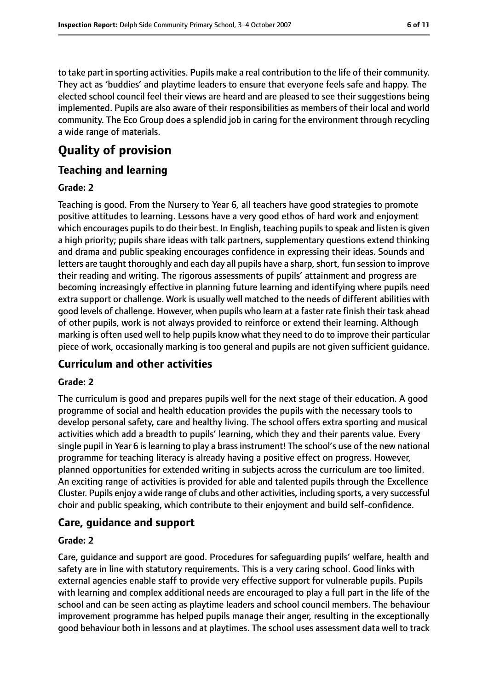to take part in sporting activities. Pupils make a real contribution to the life of their community. They act as 'buddies' and playtime leaders to ensure that everyone feels safe and happy. The elected school council feel their views are heard and are pleased to see their suggestions being implemented. Pupils are also aware of their responsibilities as members of their local and world community. The Eco Group does a splendid job in caring for the environment through recycling a wide range of materials.

# **Quality of provision**

## **Teaching and learning**

#### **Grade: 2**

Teaching is good. From the Nursery to Year 6, all teachers have good strategies to promote positive attitudes to learning. Lessons have a very good ethos of hard work and enjoyment which encourages pupils to do their best. In English, teaching pupils to speak and listen is given a high priority; pupils share ideas with talk partners, supplementary questions extend thinking and drama and public speaking encourages confidence in expressing their ideas. Sounds and letters are taught thoroughly and each day all pupils have a sharp, short, fun session to improve their reading and writing. The rigorous assessments of pupils' attainment and progress are becoming increasingly effective in planning future learning and identifying where pupils need extra support or challenge. Work is usually well matched to the needs of different abilities with good levels of challenge. However, when pupils who learn at a faster rate finish their task ahead of other pupils, work is not always provided to reinforce or extend their learning. Although marking is often used well to help pupils know what they need to do to improve their particular piece of work, occasionally marking is too general and pupils are not given sufficient guidance.

## **Curriculum and other activities**

#### **Grade: 2**

The curriculum is good and prepares pupils well for the next stage of their education. A good programme of social and health education provides the pupils with the necessary tools to develop personal safety, care and healthy living. The school offers extra sporting and musical activities which add a breadth to pupils' learning, which they and their parents value. Every single pupil in Year 6 is learning to play a brass instrument! The school's use of the new national programme for teaching literacy is already having a positive effect on progress. However, planned opportunities for extended writing in subjects across the curriculum are too limited. An exciting range of activities is provided for able and talented pupils through the Excellence Cluster. Pupils enjoy a wide range of clubs and other activities, including sports, a very successful choir and public speaking, which contribute to their enjoyment and build self-confidence.

## **Care, guidance and support**

#### **Grade: 2**

Care, guidance and support are good. Procedures for safeguarding pupils' welfare, health and safety are in line with statutory requirements. This is a very caring school. Good links with external agencies enable staff to provide very effective support for vulnerable pupils. Pupils with learning and complex additional needs are encouraged to play a full part in the life of the school and can be seen acting as playtime leaders and school council members. The behaviour improvement programme has helped pupils manage their anger, resulting in the exceptionally good behaviour both in lessons and at playtimes. The school uses assessment data well to track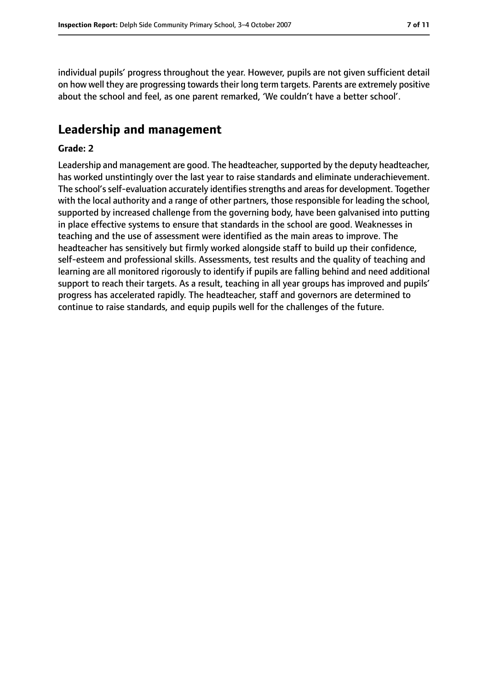individual pupils' progress throughout the year. However, pupils are not given sufficient detail on how well they are progressing towards their long term targets. Parents are extremely positive about the school and feel, as one parent remarked, 'We couldn't have a better school'.

# **Leadership and management**

#### **Grade: 2**

Leadership and management are good. The headteacher, supported by the deputy headteacher, has worked unstintingly over the last year to raise standards and eliminate underachievement. The school's self-evaluation accurately identifies strengths and areas for development. Together with the local authority and a range of other partners, those responsible for leading the school, supported by increased challenge from the governing body, have been galvanised into putting in place effective systems to ensure that standards in the school are good. Weaknesses in teaching and the use of assessment were identified as the main areas to improve. The headteacher has sensitively but firmly worked alongside staff to build up their confidence, self-esteem and professional skills. Assessments, test results and the quality of teaching and learning are all monitored rigorously to identify if pupils are falling behind and need additional support to reach their targets. As a result, teaching in all year groups has improved and pupils' progress has accelerated rapidly. The headteacher, staff and governors are determined to continue to raise standards, and equip pupils well for the challenges of the future.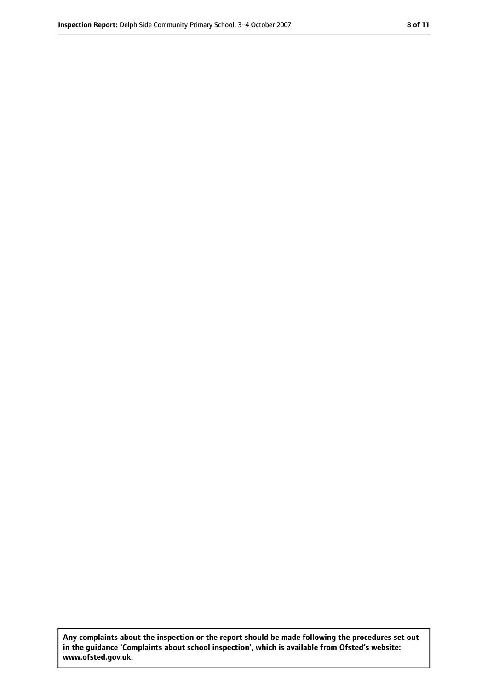**Any complaints about the inspection or the report should be made following the procedures set out in the guidance 'Complaints about school inspection', which is available from Ofsted's website: www.ofsted.gov.uk.**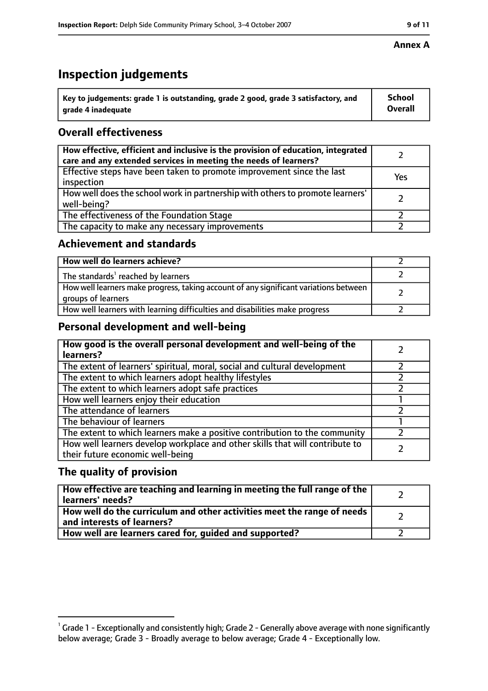# **Inspection judgements**

| $\degree$ Key to judgements: grade 1 is outstanding, grade 2 good, grade 3 satisfactory, and | School         |
|----------------------------------------------------------------------------------------------|----------------|
| arade 4 inadequate                                                                           | <b>Overall</b> |

# **Overall effectiveness**

| How effective, efficient and inclusive is the provision of education, integrated<br>care and any extended services in meeting the needs of learners? |     |
|------------------------------------------------------------------------------------------------------------------------------------------------------|-----|
| Effective steps have been taken to promote improvement since the last<br>inspection                                                                  | Yes |
| How well does the school work in partnership with others to promote learners'<br>well-being?                                                         |     |
| The effectiveness of the Foundation Stage                                                                                                            |     |
| The capacity to make any necessary improvements                                                                                                      |     |

## **Achievement and standards**

| How well do learners achieve?                                                                               |  |
|-------------------------------------------------------------------------------------------------------------|--|
| The standards <sup>1</sup> reached by learners                                                              |  |
| How well learners make progress, taking account of any significant variations between<br>groups of learners |  |
| How well learners with learning difficulties and disabilities make progress                                 |  |

# **Personal development and well-being**

| How good is the overall personal development and well-being of the<br>learners?                                  |  |
|------------------------------------------------------------------------------------------------------------------|--|
| The extent of learners' spiritual, moral, social and cultural development                                        |  |
| The extent to which learners adopt healthy lifestyles                                                            |  |
| The extent to which learners adopt safe practices                                                                |  |
| How well learners enjoy their education                                                                          |  |
| The attendance of learners                                                                                       |  |
| The behaviour of learners                                                                                        |  |
| The extent to which learners make a positive contribution to the community                                       |  |
| How well learners develop workplace and other skills that will contribute to<br>their future economic well-being |  |

## **The quality of provision**

| How effective are teaching and learning in meeting the full range of the<br>learners' needs?          |  |
|-------------------------------------------------------------------------------------------------------|--|
| How well do the curriculum and other activities meet the range of needs<br>and interests of learners? |  |
| How well are learners cared for, guided and supported?                                                |  |

 $^1$  Grade 1 - Exceptionally and consistently high; Grade 2 - Generally above average with none significantly below average; Grade 3 - Broadly average to below average; Grade 4 - Exceptionally low.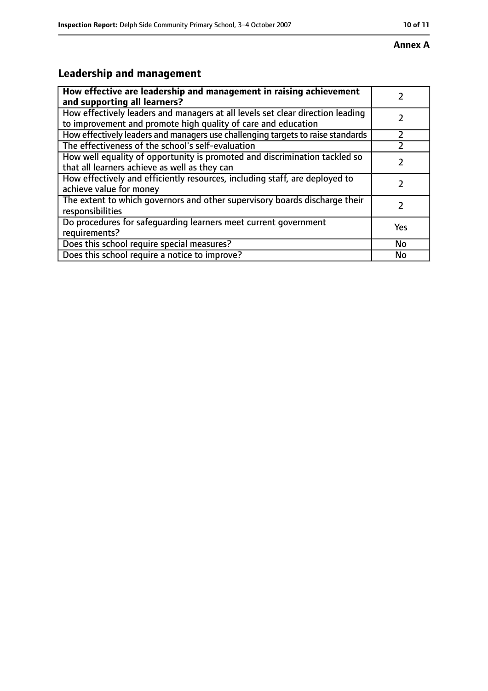#### **Annex A**

# **Leadership and management**

| How effective are leadership and management in raising achievement<br>and supporting all learners?                                              |     |
|-------------------------------------------------------------------------------------------------------------------------------------------------|-----|
| How effectively leaders and managers at all levels set clear direction leading<br>to improvement and promote high quality of care and education |     |
| How effectively leaders and managers use challenging targets to raise standards                                                                 |     |
| The effectiveness of the school's self-evaluation                                                                                               |     |
| How well equality of opportunity is promoted and discrimination tackled so<br>that all learners achieve as well as they can                     |     |
| How effectively and efficiently resources, including staff, are deployed to<br>achieve value for money                                          |     |
| The extent to which governors and other supervisory boards discharge their<br>responsibilities                                                  |     |
| Do procedures for safequarding learners meet current government<br>requirements?                                                                | Yes |
| Does this school require special measures?                                                                                                      | No  |
| Does this school require a notice to improve?                                                                                                   | No  |